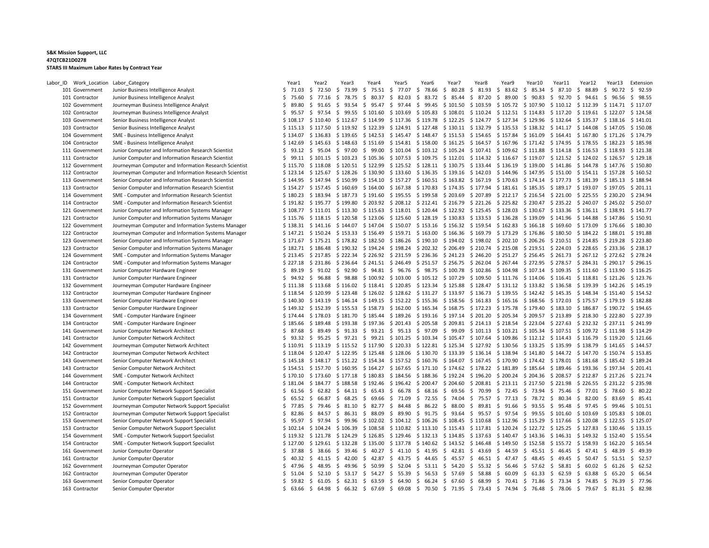| Labor_ID Work_Location Labor_Category |                                                        | Year1       | Year2                                      | Year3               | Year4             | Year5                                                                           | Year6                                                                     | Year7    | Year8                         | Year9                                                       | Year10                          | Year11              | Year12                                                                                                                           | Year13      | Extension   |
|---------------------------------------|--------------------------------------------------------|-------------|--------------------------------------------|---------------------|-------------------|---------------------------------------------------------------------------------|---------------------------------------------------------------------------|----------|-------------------------------|-------------------------------------------------------------|---------------------------------|---------------------|----------------------------------------------------------------------------------------------------------------------------------|-------------|-------------|
| 101 Government                        | Junior Business Intelligence Analyst                   | \$71.03     | \$ 72.50                                   | \$<br>73.99         | \$75.51           | \$77.07 \$78.66                                                                 |                                                                           | \$80.28  | \$31.93                       | \$83.62                                                     | \$85.34                         | \$<br>87.10         | \$88.89                                                                                                                          | \$<br>90.72 | \$92.59     |
| 101 Contractor                        | Junior Business Intelligence Analyst                   | \$75.60     | \$77.16                                    | \$78.75             | \$80.37           | \$82.03                                                                         | \$ 83.72                                                                  | \$85.44  | \$ 87.20 \$ 89.00             |                                                             | \$90.83                         | \$ 92.70 \$ 94.61   |                                                                                                                                  | \$96.56     | \$98.55     |
| 102 Government                        | Journeyman Business Intelligence Analyst               | Ś.<br>89.80 | \$91.65                                    | \$93.54             | \$95.47           | S.                                                                              | 97.44 \$ 99.45 \$ 101.50 \$ 103.59 \$ 105.72 \$ 107.90                    |          |                               |                                                             |                                 |                     | \$110.12 \$112.39                                                                                                                | \$114.71    | \$117.07    |
| 102 Contractor                        | Journeyman Business Intelligence Analyst               | \$<br>95.57 | 97.54<br>S.                                | \$99.55             | \$101.60          | \$103.69                                                                        | \$105.83                                                                  | \$108.01 |                               | \$110.24 \$112.51 \$114.83                                  |                                 | \$117.20            | \$119.61                                                                                                                         | \$122.07    | \$124.58    |
| 103 Government                        | Senior Business Intelligence Analyst                   |             | $$108.17 \t$110.40$                        | $$112.67$ $$114.99$ |                   | \$117.36 \$119.78                                                               |                                                                           | \$122.25 |                               | \$124.77 \$127.34 \$129.96                                  |                                 |                     | $$132.64$ $$135.37$ $$138.16$                                                                                                    |             | \$141.01    |
| 103 Contractor                        | Senior Business Intelligence Analyst                   |             | $$115.13 \t$ 117.50 \t$ 119.92 \t$ 122.39$ |                     |                   | $$124.91$ $$127.48$ $$130.11$ $$132.79$ $$135.53$ $$138.32$ $$141.17$ $$144.08$ |                                                                           |          |                               |                                                             |                                 |                     |                                                                                                                                  | \$147.05    | \$150.08    |
| 104 Government                        | SME - Business Intelligence Analyst                    | \$134.07    | \$136.83                                   | $$139.65$ $$142.53$ |                   | $$145.47$ $$148.47$                                                             |                                                                           | \$151.53 |                               | $$154.65$ $$157.84$ $$161.09$                               |                                 |                     | $$164.41$ $$167.80$ $$171.26$                                                                                                    |             | \$174.79    |
| 104 Contractor                        | SME - Business Intelligence Analyst                    | \$142.69    | $$145.63$ $$148.63$                        |                     | \$151.69          | \$154.81 \$158.00                                                               |                                                                           | \$161.25 |                               | \$164.57 \$167.96 \$171.42 \$174.95 \$178.55                |                                 |                     |                                                                                                                                  | \$182.23    | \$185.98    |
| 111 Government                        | Junior Computer and Information Research Scientist     | \$93.12     | \$95.04                                    | \$97.00             | \$99.00           |                                                                                 | $$101.04$ $$103.12$ $$105.24$                                             |          | \$107.41 \$109.62             |                                                             | \$111.88                        | $$114.18$ $$116.53$ |                                                                                                                                  | \$118.93    | \$121.38    |
| 111 Contractor                        | Junior Computer and Information Research Scientist     |             |                                            |                     |                   |                                                                                 |                                                                           |          |                               |                                                             |                                 |                     | \$ 99.11 \$ 101.15 \$ 103.23 \$ 105.36 \$ 107.53 \$ 109.75 \$ 112.01 \$ 114.32 \$ 116.67 \$ 119.07 \$ 121.52 \$ 124.02 \$ 126.57 |             | \$129.18    |
| 112 Government                        | Journeyman Computer and Information Research Scientist | \$115.70    | $$118.08$ $$120.51$ $$122.99$              |                     |                   |                                                                                 |                                                                           |          |                               |                                                             |                                 |                     | $$125.52$ $$128.11$ $$130.75$ $$133.44$ $$136.19$ $$139.00$ $$141.86$ $$144.78$ $$147.76$                                        |             | \$150.80    |
| 112 Contractor                        | Journeyman Computer and Information Research Scientist | \$123.14    | $$125.67$ $$128.26$ $$130.90$              |                     |                   |                                                                                 | $$133.60$ $$136.35$ $$139.16$ $$142.03$ $$144.96$ $$147.95$               |          |                               |                                                             |                                 |                     | $$151.00$ $$154.11$ $$157.28$                                                                                                    |             | \$160.52    |
| 113 Government                        | Senior Computer and Information Research Scientist     | \$144.95    | \$147.94 \$150.99 \$154.10                 |                     |                   |                                                                                 | $$157.27$ $$160.51$ $$163.82$ $$167.19$ $$170.63$                         |          |                               |                                                             | \$174.14 \$177.73 \$181.39      |                     |                                                                                                                                  | \$185.13    | \$188.94    |
| 113 Contractor                        | Senior Computer and Information Research Scientist     |             |                                            |                     |                   |                                                                                 |                                                                           |          |                               |                                                             |                                 |                     | \$154.27 \$157.45 \$160.69 \$164.00 \$167.38 \$170.83 \$174.35 \$177.94 \$181.61 \$185.35 \$189.17 \$193.07 \$197.05             |             | \$201.11    |
| 114 Government                        | SME - Computer and Information Research Scientist      | \$180.23    | \$183.94 \$187.73 \$191.60                 |                     |                   | \$195.55 \$199.58                                                               |                                                                           | \$203.69 |                               | \$207.89 \$212.17 \$216.54 \$221.00 \$225.55                |                                 |                     |                                                                                                                                  | \$230.20    | \$234.94    |
| 114 Contractor                        | SME - Computer and Information Research Scientist      | \$191.82    | \$195.77 \$199.80 \$203.92                 |                     |                   | \$208.12 \$212.41 \$216.79                                                      |                                                                           |          |                               |                                                             |                                 |                     | \$221.26 \$225.82 \$230.47 \$235.22 \$240.07 \$245.02                                                                            |             | \$250.07    |
| 121 Government                        | Junior Computer and Information Systems Manager        |             | $$108.77$ $$111.01$ $$113.30$ $$115.63$    |                     |                   |                                                                                 |                                                                           |          |                               |                                                             |                                 |                     | $$118.01$ $$120.44$ $$122.92$ $$125.45$ $$128.03$ $$130.67$ $$133.36$ $$136.11$ $$138.91$                                        |             | \$141.77    |
| 121 Contractor                        | Junior Computer and Information Systems Manager        |             | $$115.76$ $$118.15$ $$120.58$ $$123.06$    |                     |                   | \$125.60 \$128.19 \$130.83                                                      |                                                                           |          | \$133.53 \$136.28             |                                                             | \$139.09                        | $$141.96$ $$144.88$ |                                                                                                                                  | \$147.86    | \$150.91    |
| 122 Government                        | Journeyman Computer and Information Systems Manager    | \$138.31    | $$141.16 \t$144.07 \t$147.04$              |                     |                   | $$150.07$ $$153.16$ $$156.32$ $$159.54$ $$162.83$                               |                                                                           |          |                               |                                                             | $$166.18 \t$ 169.60 \t$ 173.09$ |                     |                                                                                                                                  | \$176.66    | \$180.30    |
| 122 Contractor                        | Journeyman Computer and Information Systems Manager    | \$147.21    | \$150.24 \$153.33 \$156.49                 |                     |                   | \$159.71 \$163.00                                                               |                                                                           |          | $$166.36 \t$169.79 \t$173.29$ |                                                             |                                 |                     | \$176.86 \$180.50 \$184.22 \$188.01                                                                                              |             | \$191.88    |
| 123 Government                        | Senior Computer and Information Systems Manager        | \$171.67    | \$175.21 \$178.82 \$182.50                 |                     |                   | $$186.26$$ $$190.10$                                                            |                                                                           |          |                               | \$194.02 \$198.02 \$202.10 \$206.26                         |                                 | $$210.51 \$214.85$  |                                                                                                                                  | \$219.28    | \$223.80    |
| 123 Contractor                        | Senior Computer and Information Systems Manager        |             |                                            |                     |                   | \$182.71 \$186.48 \$190.32 \$194.24 \$198.24 \$202.32 \$206.49                  |                                                                           |          |                               |                                                             |                                 |                     | \$210.74 \$215.08 \$219.51 \$224.03 \$228.65 \$233.36                                                                            |             | \$238.17    |
| 124 Government                        | SME - Computer and Information Systems Manager         | \$213.45    | \$217.85 \$222.34                          |                     | \$226.92          | $$231.59$ $$236.36$ $$241.23$                                                   |                                                                           |          |                               | \$246.20 \$251.27 \$256.45                                  |                                 |                     | \$261.73 \$267.12                                                                                                                | \$272.62    | \$278.24    |
| 124 Contractor                        | SME - Computer and Information Systems Manager         | \$227.18    | $$231.86$ $$236.64$                        |                     |                   | $$241.51$ $$246.49$ $$251.57$ $$256.75$                                         |                                                                           |          |                               |                                                             |                                 |                     | \$262.04 \$267.44 \$272.95 \$278.57 \$284.31 \$290.17                                                                            |             | \$296.15    |
| 131 Government                        | Junior Computer Hardware Engineer                      | \$89.19     | \$ 91.02 \$ 92.90 \$ 94.81                 |                     |                   |                                                                                 |                                                                           |          |                               |                                                             |                                 |                     | \$ 96.76 \$ 98.75 \$ 100.78 \$ 102.86 \$ 104.98 \$ 107.14 \$ 109.35 \$ 111.60 \$ 113.90                                          |             | \$116.25    |
| 131 Contractor                        | Junior Computer Hardware Engineer                      | \$94.92     | \$<br>96.88                                | \$98.88             |                   | $$100.92 \$103.00 \$105.12 \$107.29$                                            |                                                                           |          |                               | $$109.50 \$111.76 \$114.06$                                 |                                 |                     | $$116.41$ $$118.81$                                                                                                              | \$121.26    | \$123.76    |
| 132 Government                        | Journeyman Computer Hardware Engineer                  | \$111.38    |                                            |                     |                   | $$113.68$ $$116.02$ $$118.41$ $$120.85$ $$123.34$ $$125.88$                     |                                                                           |          |                               | $$128.47$ $$131.12$ $$133.82$ $$136.58$ $$139.39$           |                                 |                     |                                                                                                                                  | \$142.26    | \$145.19    |
| 132 Contractor                        | Journeyman Computer Hardware Engineer                  | \$118.54    | \$120.99                                   |                     |                   | $$123.48$ $$126.02$ $$128.62$ $$131.27$ $$133.97$                               |                                                                           |          |                               |                                                             |                                 |                     | $$136.73$ $$139.55$ $$142.42$ $$145.35$ $$148.34$ $$151.40$                                                                      |             | \$154.52    |
| 133 Government                        | Senior Computer Hardware Engineer                      | \$140.30    | $$143.19 \t$ 146.14 \t$ 149.15$            |                     |                   | $$152.22 \t$155.36 \t$158.56$                                                   |                                                                           |          |                               |                                                             |                                 |                     | \$161.83 \$165.16 \$168.56 \$172.03 \$175.57 \$179.19                                                                            |             | \$182.88    |
| 133 Contractor                        | Senior Computer Hardware Engineer                      | \$149.32    | $$152.39$ $$155.53$ $$158.73$              |                     |                   | $$162.00 \$165.34 \$168.75$                                                     |                                                                           |          |                               |                                                             |                                 |                     | $$172.23$ $$175.78$ $$179.40$ $$183.10$ $$186.87$ $$190.72$                                                                      |             | \$194.65    |
| 134 Government                        | SME - Computer Hardware Engineer                       | \$174.44    | \$178.03                                   |                     | \$181.70 \$185.44 |                                                                                 |                                                                           |          |                               |                                                             |                                 |                     | $$189.26$ $$193.16$ $$197.14$ $$201.20$ $$205.34$ $$209.57$ $$213.89$ $$218.30$ $$222.80$                                        |             | \$227.39    |
| 134 Contractor                        | SME - Computer Hardware Engineer                       | \$185.66    | \$189.48                                   | \$193.38 \$197.36   |                   | \$201.43 \$205.58                                                               |                                                                           | \$209.81 |                               |                                                             |                                 |                     | \$214.13 \$218.54 \$223.04 \$227.63 \$232.32 \$237.11                                                                            |             | \$241.99    |
| 141 Government                        | Junior Computer Network Architect                      | \$87.68     | \$ 89.49                                   |                     |                   | \$ 91.33 \$ 93.21 \$ 95.13 \$ 97.09                                             |                                                                           | \$99.09  |                               |                                                             |                                 |                     | $$101.13$ $$103.21$ $$105.34$ $$107.51$ $$109.72$ $$111.98$                                                                      |             | \$114.29    |
| 141 Contractor                        | Junior Computer Network Architect                      | \$93.32     | -\$<br>95.25                               | \$97.21\$99.21      |                   | $$101.25$ $$103.34$ $$105.47$ $$107.64$ $$109.86$ $$112.12$ $$114.43$ $$116.79$ |                                                                           |          |                               |                                                             |                                 |                     |                                                                                                                                  | \$119.20    | \$121.66    |
| 142 Government                        | Journeyman Computer Network Architect                  | \$110.91    | \$113.19 \$115.52 \$117.90                 |                     |                   |                                                                                 | \$120.33 \$122.81 \$125.34 \$127.92 \$130.56 \$133.25 \$135.99 \$138.79   |          |                               |                                                             |                                 |                     |                                                                                                                                  | \$141.65    | \$144.57    |
| 142 Contractor                        | Journeyman Computer Network Architect                  | \$118.04    |                                            |                     |                   |                                                                                 |                                                                           |          |                               |                                                             |                                 |                     | \$120.47 \$122.95 \$125.48 \$128.06 \$130.70 \$133.39 \$136.14 \$138.94 \$141.80 \$144.72 \$147.70 \$150.74                      |             | \$153.85    |
| 143 Government                        | Senior Computer Network Architect                      |             |                                            |                     |                   |                                                                                 |                                                                           |          |                               |                                                             |                                 |                     | \$145.18 \$148.17 \$151.22 \$154.34 \$157.52 \$160.76 \$164.07 \$167.45 \$170.90 \$174.42 \$178.01 \$181.68 \$185.42             |             | \$189.24    |
| 143 Contractor                        | Senior Computer Network Architect                      | \$154.51    | \$157.70                                   |                     | \$160.95 \$164.27 | $$167.65 \t$ 171.10 \t$ 174.62 \t$ 178.22 \t$ 181.89$                           |                                                                           |          |                               |                                                             |                                 |                     | $$185.64$ $$189.46$ $$193.36$ $$197.34$                                                                                          |             | \$201.41    |
| 144 Government                        | SME - Computer Network Architect                       | \$170.10    |                                            |                     |                   |                                                                                 |                                                                           |          |                               |                                                             |                                 |                     | \$173.60 \$177.18 \$180.83 \$184.56 \$188.36 \$192.24 \$196.20 \$200.24 \$204.36 \$208.57 \$212.87 \$217.26                      |             | \$221.74    |
| 144 Contractor                        | SME - Computer Network Architect                       | \$181.04    | \$184.77 \$188.58 \$192.46                 |                     |                   | \$196.42 \$200.47                                                               |                                                                           |          |                               | \$204.60 \$208.81 \$213.11 \$217.50                         |                                 | \$221.98 \$226.55   |                                                                                                                                  | \$231.22    | \$235.98    |
| 151 Government                        | Junior Computer Network Support Specialist             | \$61.56     | \$62.82                                    | $$64.11 \$65.43$    |                   | $$66.78$ $$68.16$ $$69.56$ $$70.99$ $$72.45$ $$73.94$ $$75.46$ $$77.01$         |                                                                           |          |                               |                                                             |                                 |                     |                                                                                                                                  | \$78.60     | \$80.22     |
| 151 Contractor                        | Junior Computer Network Support Specialist             | \$<br>65.52 | 66.87<br>S.                                | 68.25<br>S.         | \$<br>69.66       | 71.09<br>S.                                                                     | \$72.55                                                                   | \$ 74.04 | \$                            | 75.57 \$ 77.13                                              | \$78.72                         | 80.34<br>- S        | \$82.00                                                                                                                          | \$83.69     | \$85.41     |
| 152 Government                        | Journeyman Computer Network Support Specialist         | \$<br>77.85 | \$79.46                                    | $$81.10 \$82.77$    |                   |                                                                                 | $$84.48$$ \$ 86.22 \$ 88.00                                               |          | $$89.81$$ $$91.66$            |                                                             | \$93.55                         | \$<br>95.48         | \$97.45                                                                                                                          | \$99.46     | \$101.51    |
| 152 Contractor                        | Journeyman Computer Network Support Specialist         | Ś.<br>82.86 | \$<br>84.57                                | \$ 86.31 \$ 88.09   |                   |                                                                                 | \$ 89.90 \$ 91.75 \$ 93.64 \$ 95.57 \$ 97.54 \$ 99.55 \$ 101.60 \$ 103.69 |          |                               |                                                             |                                 |                     |                                                                                                                                  | \$105.83    | \$108.01    |
| 153 Government                        | Senior Computer Network Support Specialist             | \$<br>95.97 | \$<br>97.94                                | - \$                |                   | 99.96 \$102.02 \$104.12 \$106.26 \$108.45                                       |                                                                           |          |                               | \$110.68 \$112.96 \$115.29                                  |                                 |                     | $$117.66$ $$120.08$                                                                                                              | \$122.55    | \$125.07    |
| 153 Contractor                        | Senior Computer Network Support Specialist             |             | $$102.14$ $$104.24$ $$106.39$ $$108.58$    |                     |                   | $$110.82 \$113.10$                                                              |                                                                           |          |                               | $$115.43$ $$117.81$ $$120.24$ $$122.72$ $$125.25$ $$127.83$ |                                 |                     |                                                                                                                                  | \$130.46    | \$133.15    |
| 154 Government                        | SME - Computer Network Support Specialist              | \$119.32    | \$121.78 \$124.29 \$126.85                 |                     |                   | $$129.46$ $$132.13$ $$134.85$                                                   |                                                                           |          |                               | $$137.63 \t$140.47 \t$143.36$                               |                                 |                     | $$146.31$ $$149.32$ $$152.40$                                                                                                    |             | \$155.54    |
| 154 Contractor                        | SME - Computer Network Support Specialist              | \$127.00    | \$129.61 \$132.28 \$135.00                 |                     |                   |                                                                                 | $$137.78$ $$140.62$ $$143.52$ $$146.48$ $$149.50$ $$152.58$               |          |                               |                                                             |                                 | $$155.72 \t$158.93$ |                                                                                                                                  | \$162.20    | \$165.54    |
| 161 Government                        | Junior Computer Operator                               | \$37.88     | \$<br>38.66                                | $$39.46 \t$40.27$   |                   |                                                                                 | $$41.10 \t$41.95 \t$42.81$                                                |          | \$43.69                       | \$44.59                                                     | $$45.51$ \$                     | 46.45               | \$47.41                                                                                                                          | \$48.39     | \$49.39     |
| 161 Contractor                        | Junior Computer Operator                               | \$<br>40.32 | \$41.15                                    | \$42.00             | \$<br>42.87       | \$<br>43.75                                                                     | \$44.65                                                                   |          |                               | $$45.57$ $$46.51$ $$47.47$ $$48.45$                         |                                 | 49.45<br>- S        | \$<br>50.47                                                                                                                      | \$51.51     | \$52.57     |
| 162 Government                        | Journeyman Computer Operator                           | \$<br>47.96 | \$48.95                                    | \$49.96             | \$ 50.99          |                                                                                 | \$52.04\$53.11\$54.20                                                     |          |                               | $$5.32 \t$ 56.46 \t$ 57.62$                                 |                                 | \$58.81\$60.02      |                                                                                                                                  | \$61.26     | \$62.52     |
| 162 Contractor                        | Journeyman Computer Operator                           | Ś.<br>51.04 | \$52.10                                    |                     |                   |                                                                                 |                                                                           |          |                               |                                                             |                                 |                     | $$53.17$ $$54.27$ $$55.39$ $$56.53$ $$57.69$ $$58.88$ $$60.09$ $$61.33$ $$62.59$ $$63.88$ $$65.20$                               |             | \$<br>66.54 |
| 163 Government                        | Senior Computer Operator                               | \$59.82     | \$ 61.05                                   |                     |                   |                                                                                 |                                                                           |          |                               |                                                             |                                 |                     | $$62.31$ $$63.59$ $$64.90$ $$66.24$ $$67.60$ $$68.99$ $$70.41$ $$71.86$ $$73.34$ $$74.85$ $$76.39$                               |             | \$ 77.96    |
| 163 Contractor                        | Senior Computer Operator                               |             |                                            |                     |                   |                                                                                 |                                                                           |          |                               |                                                             |                                 |                     | \$ 63.66 \$ 64.98 \$ 66.32 \$ 67.69 \$ 69.08 \$ 70.50 \$ 71.95 \$ 73.43 \$ 74.94 \$ 76.48 \$ 78.06 \$ 79.67 \$ 81.31 \$ 82.98    |             |             |
|                                       |                                                        |             |                                            |                     |                   |                                                                                 |                                                                           |          |                               |                                                             |                                 |                     |                                                                                                                                  |             |             |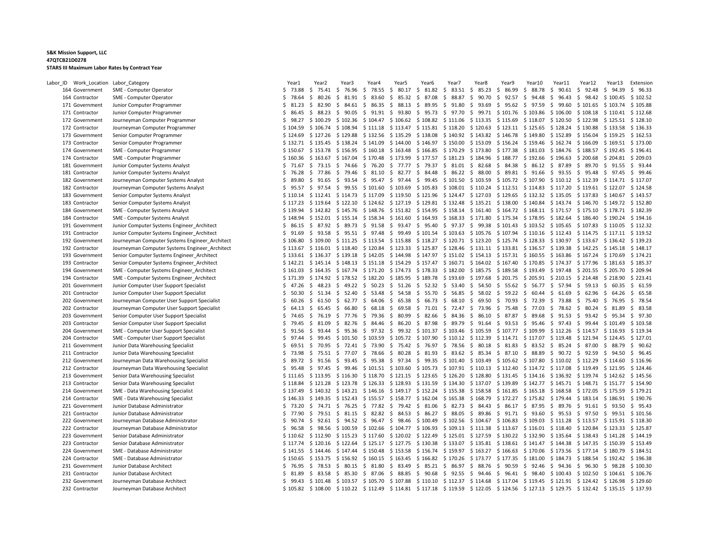| Labor ID Work Location Labor Category |                                                                              | Year1                   | Year <sub>2</sub>                                                                                                                          | Year <sub>3</sub>                     | Year4          | Year <sub>5</sub>                                                                         | Year <sub>6</sub>                                 | Year7       | Year <sub>8</sub>                          | Year9                         | Year10                                       | Year11               | Year12                                                                                                                            | Year13   | Extension            |
|---------------------------------------|------------------------------------------------------------------------------|-------------------------|--------------------------------------------------------------------------------------------------------------------------------------------|---------------------------------------|----------------|-------------------------------------------------------------------------------------------|---------------------------------------------------|-------------|--------------------------------------------|-------------------------------|----------------------------------------------|----------------------|-----------------------------------------------------------------------------------------------------------------------------------|----------|----------------------|
| 164 Government                        | SME - Computer Operator                                                      | \$73.88                 | \$75.41 \$76.96                                                                                                                            |                                       | \$78.55        | \$80.17                                                                                   | \$ 81.82 \$ 83.51 \$ 85.23 \$ 86.99               |             |                                            |                               | \$ 88.78                                     | \$90.61              | \$92.48                                                                                                                           | \$94.39  | \$96.33              |
| 164 Contractor                        | SME - Computer Operator                                                      | 78.64<br>S              | 80.26<br>\$                                                                                                                                | - \$<br>81.91                         | - \$<br>83.60  | \$<br>85.32                                                                               | \$<br>87.08                                       | \$<br>88.87 | \$<br>90.70                                | \$92.57                       | \$94.48                                      | \$<br>96.43          | \$98.42                                                                                                                           | \$100.45 | \$102.52             |
| 171 Government                        | Junior Computer Programmer                                                   | \$<br>81.23             | \$82.90                                                                                                                                    | \$<br>84.61 \$                        | 86.35          | 88.13<br>\$                                                                               | 89.95<br>\$                                       | 91.80<br>\$ | \$<br>93.69                                | \$95.62                       | \$97.59                                      | \$<br>99.60          | $$101.65$ $$103.74$                                                                                                               |          | \$105.88             |
| 171 Contractor                        | Junior Computer Programmer                                                   | S.<br>86.45             | \$88.23                                                                                                                                    | \$90.05                               | \$91.91        | \$93.80                                                                                   | \$95.73                                           | \$<br>97.70 | \$                                         | 99.71 \$101.76                | \$103.86                                     | $$106.00$$ \$ 108.18 |                                                                                                                                   | \$110.41 | \$112.68             |
| 172 Government                        | Journeyman Computer Programmer                                               | S.<br>98.27             | \$100.29                                                                                                                                   | \$102.36 \$104.47                     |                | $$106.62 \quad $108.82 \quad $111.06$                                                     |                                                   |             |                                            | $$113.35$ $$115.69$ $$118.07$ |                                              |                      | \$120.50 \$122.98                                                                                                                 | \$125.51 | \$128.10             |
| 172 Contractor                        | Journeyman Computer Programmer                                               | \$104.59                |                                                                                                                                            | \$106.74 \$108.94 \$111.18            |                | $$113.47$ $$115.81$ $$118.20$                                                             |                                                   |             |                                            | $$120.63$ $$123.11$ $$125.65$ |                                              | \$128.24 \$130.88    |                                                                                                                                   | \$133.58 | \$136.33             |
| 173 Government                        | Senior Computer Programmer                                                   | \$124.69                | $$127.26$ $$129.88$                                                                                                                        |                                       | \$132.56       | \$135.29                                                                                  | \$138.08                                          |             | $$140.92 \t$ 143.82 \t$ 146.78 \t$ 149.80$ |                               |                                              | $$152.89$ $$156.04$  |                                                                                                                                   | \$159.25 | \$162.53             |
| 173 Contractor                        | Senior Computer Programmer                                                   |                         | $$132.71$ $$135.45$ $$138.24$ $$141.09$                                                                                                    |                                       |                |                                                                                           | \$144.00 \$146.97 \$150.00                        |             |                                            | \$153.09 \$156.24 \$159.46    |                                              | $$162.74$ $$166.09$  |                                                                                                                                   | \$169.51 | \$173.00             |
| 174 Government                        | SME - Computer Programmer                                                    | \$150.67                |                                                                                                                                            | $$153.78$ $$156.95$ $$160.18$         |                | \$163.48 \$166.85 \$170.29                                                                |                                                   |             | $$173.80$ $$177.38$ $$181.03$              |                               |                                              | $$184.76$ $$188.57$  |                                                                                                                                   | \$192.45 | \$196.41             |
| 174 Contractor                        | SME - Computer Programmer                                                    | \$160.36                |                                                                                                                                            | $$163.67$ $$167.04$ $$170.48$         |                | \$173.99                                                                                  | \$177.57 \$181.23 \$184.96 \$188.77 \$192.66      |             |                                            |                               |                                              |                      | $$196.63 \t$200.68 \t$204.81$                                                                                                     |          | \$209.03             |
| 181 Government                        | Junior Computer Systems Analyst                                              | \$71.67                 | \$73.15                                                                                                                                    | \$74.66                               | \$76.20        | \$77.77                                                                                   | \$79.37                                           | \$31.01     | \$2.68                                     | \$84.38                       | \$86.12                                      | \$ 87.89             | \$89.70                                                                                                                           | \$91.55  | \$93.44              |
| 181 Contractor                        | Junior Computer Systems Analyst                                              | \$76.28                 | \$77.86                                                                                                                                    | \$79.46\$30.10                        |                | \$ 82.77 \$ 84.48                                                                         |                                                   |             | \$ 86.22 \$ 88.00 \$ 89.81 \$ 91.66        |                               |                                              |                      | \$ 93.55 \$ 95.48 \$ 97.45                                                                                                        |          | \$99.46              |
| 182 Government                        | Journeyman Computer Systems Analyst                                          | \$<br>89.80             | \$91.65                                                                                                                                    | \$<br>93.54                           | \$95.47        | \$97.44                                                                                   | \$99.45                                           | \$101.50    |                                            | \$103.59 \$105.72 \$107.90    |                                              |                      | $$110.12 \t$112.39 \t$114.71$                                                                                                     |          | \$117.07             |
| 182 Contractor                        | Journeyman Computer Systems Analyst                                          | \$95.57                 | \$97.54                                                                                                                                    | \$ 99.55 \$ 101.60                    |                | \$103.69                                                                                  | $$105.83$ $$108.01$ $$110.24$ $$112.51$ $$114.83$ |             |                                            |                               |                                              |                      | \$117.20 \$119.61 \$122.07                                                                                                        |          | \$124.58             |
| 183 Government                        | Senior Computer Systems Analyst                                              |                         | $$110.14$ $$112.41$ $$114.73$ $$117.09$                                                                                                    |                                       |                |                                                                                           |                                                   |             |                                            |                               |                                              |                      | $$119.50$ $$121.96$ $$124.47$ $$127.03$ $$129.65$ $$132.32$ $$135.05$ $$137.83$ $$140.67$                                         |          | \$143.57             |
| 183 Contractor                        | Senior Computer Systems Analyst                                              | \$117.23                | \$119.64                                                                                                                                   | \$122.10                              | \$124.62       | \$127.19                                                                                  | \$129.81                                          | \$132.48    | \$135.21 \$138.00                          |                               | \$140.84                                     | $$143.74$ $$146.70$  |                                                                                                                                   | \$149.72 | \$152.80             |
| 184 Government                        | SME - Computer Systems Analyst                                               | \$139.94                |                                                                                                                                            | \$142.82 \$145.76 \$148.76            |                |                                                                                           |                                                   |             |                                            |                               |                                              |                      | $$151.82$ $$154.95$ $$158.14$ $$161.40$ $$164.72$ $$168.11$ $$171.57$ $$175.10$ $$178.71$                                         |          | \$182.39             |
| 184 Contractor                        | SME - Computer Systems Analyst                                               | \$148.94                |                                                                                                                                            | $$152.01$ $$155.14$                   | \$158.34       | $$161.60$ $$164.93$ $$168.33$ $$171.80$ $$175.34$ $$178.95$                               |                                                   |             |                                            |                               |                                              |                      | \$182.64 \$186.40 \$190.24                                                                                                        |          | \$194.16             |
| 191 Government                        | Junior Computer Systems Engineer_Architect                                   | \$86.15                 | \$ 87.92                                                                                                                                   | \$                                    | 89.73 \$ 91.58 | \$93.47\$595.40                                                                           |                                                   | \$97.37     | \$                                         |                               |                                              |                      | 99.38 \$101.43 \$103.52 \$105.65 \$107.83 \$110.05                                                                                |          | \$112.32             |
| 191 Contractor                        | Junior Computer Systems Engineer Architect                                   | \$91.69                 | \$93.58                                                                                                                                    | \$ 95.51 \$ 97.48                     |                |                                                                                           |                                                   |             |                                            |                               |                                              |                      | $$99.49$ \$101.54 \$103.63 \$105.76 \$107.94 \$110.16 \$112.43 \$114.75 \$117.11                                                  |          | \$119.52             |
| 192 Government                        | Journeyman Computer Systems Engineer Architect                               | \$106.80                | \$109.00                                                                                                                                   | \$111.25 \$113.54                     |                | $$115.88$ $$118.27$ $$120.71$ $$123.20$ $$125.74$ $$128.33$                               |                                                   |             |                                            |                               |                                              | \$130.97 \$133.67    |                                                                                                                                   | \$136.42 | \$139.23             |
| 192 Contractor                        | Journeyman Computer Systems Engineer_Architect                               | \$113.67                |                                                                                                                                            | $$116.01$ $$118.40$                   |                | $$120.84$ $$123.33$ $$125.87$ $$128.46$ $$131.11$ $$133.81$ $$136.57$ $$139.38$ $$142.25$ |                                                   |             |                                            |                               |                                              |                      |                                                                                                                                   | \$145.18 | \$148.17             |
| 193 Government                        | Senior Computer Systems Engineer Architect                                   | \$133.61                | \$136.37                                                                                                                                   | \$139.18 \$142.05                     |                |                                                                                           | \$144.98 \$147.97                                 | \$151.02    | $$154.13 \t$157.31 \t$160.55$              |                               |                                              | $$163.86 \t$167.24$  |                                                                                                                                   | \$170.69 | \$174.21             |
| 193 Contractor                        | Senior Computer Systems Engineer Architect                                   | \$142.21                |                                                                                                                                            | $$145.14 \t$148.13 \t$151.18$         |                | $$154.29$ $$157.47$ $$160.71$ $$164.02$ $$167.40$                                         |                                                   |             |                                            |                               | \$170.85                                     |                      | \$174.37 \$177.96 \$181.63                                                                                                        |          | \$185.37             |
| 194 Government                        | SME - Computer Systems Engineer Architect                                    | \$161.03                |                                                                                                                                            | \$164.35 \$167.74 \$171.20            |                | \$174.73 \$178.33 \$182.00                                                                |                                                   |             |                                            | \$185.75 \$189.58 \$193.49    |                                              | \$197.48 \$201.55    |                                                                                                                                   | \$205.70 | \$209.94             |
| 194 Contractor                        | SME - Computer Systems Engineer Architect                                    | \$171.39                |                                                                                                                                            | $$174.92 \t$ 178.52 \t$ 182.20$       |                | \$185.95 \$189.78 \$193.69                                                                |                                                   |             |                                            |                               |                                              |                      | $$197.68$ $$201.75$ $$205.91$ $$210.15$ $$214.48$ $$218.90$                                                                       |          | \$223.41             |
| 201 Government                        | Junior Computer User Support Specialist                                      | \$47.26                 | \$<br>48.23                                                                                                                                | $$49.22 \t$50.23$                     |                |                                                                                           | $$51.26$$ $$52.32$$ $$53.40$                      |             | \$                                         | 54.50 \$ 55.62                | \$ 56.77                                     | \$57.94\$59.13       |                                                                                                                                   | \$60.35  | \$61.59              |
| 201 Contractor                        | Junior Computer User Support Specialist                                      | Ŝ.<br>50.30             | \$51.34                                                                                                                                    | \$<br>52.40                           | - \$<br>53.48  | \$54.58                                                                                   | \$ 55.70                                          | \$56.85     | \$                                         | 58.02 \$ 59.22                | \$60.44                                      | 61.69<br>- \$        | \$62.96                                                                                                                           | \$64.26  | \$<br>65.58          |
| 202 Government                        | Journeyman Computer User Support Specialist                                  | 60.26<br>S.             | \$61.50                                                                                                                                    | $$62.77$ \$                           | 64.06          | \$65.38                                                                                   | \$66.73\$568.10                                   |             | \$                                         | 69.50 \$ 70.93 \$ 72.39       |                                              | \$73.88              | \$75.40                                                                                                                           | \$76.95  | \$78.54              |
| 202 Contractor                        | Journeyman Computer User Support Specialist                                  | \$<br>64.13             | \$<br>65.45                                                                                                                                | - \$<br>66.80                         | - \$<br>68.18  | \$<br>69.58                                                                               | \$71.01                                           | \$72.47     | \$<br>73.96                                | \$75.48                       | \$ 77.03                                     | 78.62<br>-\$         | \$<br>80.24                                                                                                                       | \$31.89  | \$<br>83.58          |
| 203 Government                        | Senior Computer User Support Specialist                                      | S.<br>74.65             | S.<br>76.19                                                                                                                                | \$77.76 \$79.36                       |                | \$ 80.99                                                                                  | \$ 82.66                                          | \$<br>84.36 | \$                                         | 86.10 \$ 87.87                | \$ 89.68                                     | \$<br>91.53          | \$<br>93.42                                                                                                                       | \$95.34  | \$97.30              |
| 203 Contractor                        | Senior Computer User Support Specialist                                      | 79.45<br>\$.            | \$31.09                                                                                                                                    | \$ 82.76                              | \$ 84.46       |                                                                                           | \$ 86.20 \$ 87.98 \$ 89.79                        |             |                                            | $$91.64 \t$93.53 \t$95.46$    |                                              | \$97.43              | $$99.44 \$101.49$                                                                                                                 |          | \$103.58             |
| 204 Government                        | SME - Computer User Support Specialist                                       | 91.56<br>Ŝ.             | \$<br>93.44                                                                                                                                | \$<br>95.36                           | \$<br>97.32    | \$99.32                                                                                   | \$101.37                                          | \$103.46    |                                            | $$105.59$ $$107.77$ $$109.99$ |                                              | $$112.26 \t$114.57$  |                                                                                                                                   | \$116.93 | \$119.34             |
| 204 Contractor                        | SME - Computer User Support Specialist                                       | 97.44<br>\$             | \$<br>99.45                                                                                                                                | $$101.50$ $$103.59$                   |                |                                                                                           |                                                   |             |                                            |                               |                                              |                      | $$105.72$ $$107.90$ $$110.12$ $$112.39$ $$114.71$ $$117.07$ $$119.48$ $$121.94$ $$124.45$                                         |          | \$127.01             |
| 211 Government                        | Junior Data Warehousing Specialist                                           | Ŝ.<br>69.51             | \$70.95                                                                                                                                    | \$72.41 \$73.90                       |                |                                                                                           | \$75.42 \$76.97 \$78.56                           |             |                                            |                               | \$ 80.18 \$ 81.83 \$ 83.52 \$ 85.24 \$ 87.00 |                      |                                                                                                                                   | \$ 88.79 | \$90.62              |
| 211 Contractor                        |                                                                              | Ŝ.<br>73.98             | \$<br>75.51 \$                                                                                                                             | 77.07                                 | 78.66<br>- \$  | \$80.28                                                                                   | $$81.93 \t$83.62 \t$85.34 \t$87.10 \t$88.89$      |             |                                            |                               |                                              |                      | \$ 90.72 \$ 92.59                                                                                                                 | \$94.50  | \$96.45              |
|                                       | Junior Data Warehousing Specialist                                           |                         |                                                                                                                                            |                                       | \$95.38        |                                                                                           | \$ 97.34 \$ 99.35 \$ 101.40                       |             |                                            |                               |                                              |                      | \$110.02 \$112.29                                                                                                                 |          | \$116.96             |
| 212 Government<br>212 Contractor      | Journeyman Data Warehousing Specialist                                       | \$<br>89.72             | \$<br>91.56<br>\$<br>97.45                                                                                                                 | \$<br>93.45                           |                |                                                                                           |                                                   |             |                                            | $$103.49$ $$105.62$ $$107.80$ |                                              |                      |                                                                                                                                   | \$114.60 |                      |
| 213 Government                        | Journeyman Data Warehousing Specialist<br>Senior Data Warehousing Specialist | \$<br>95.48<br>\$111.65 |                                                                                                                                            | \$99.46<br>\$113.95 \$116.30 \$118.70 |                | $$121.15 \t$ 123.65 \t$ 126.20 \t$ 128.80 \t$ 131.45 \t$ 134.16$                          |                                                   |             |                                            |                               |                                              |                      | $$101.51$ $$103.60$ $$105.73$ $$107.91$ $$110.13$ $$112.40$ $$114.72$ $$117.08$ $$119.49$ $$121.95$<br>\$136.92 \$139.74 \$142.62 |          | \$124.46<br>\$145.56 |
|                                       |                                                                              |                         |                                                                                                                                            | \$123.78 \$126.33                     |                | \$128.93 \$131.59 \$134.30                                                                |                                                   |             |                                            |                               |                                              |                      | $$137.07$ $$139.89$ $$142.77$ $$145.71$ $$148.71$ $$151.77$                                                                       |          | \$154.90             |
| 213 Contractor<br>214 Government      | Senior Data Warehousing Specialist<br>SME - Data Warehousing Specialist      | \$118.84<br>\$137.49    | \$121.28                                                                                                                                   |                                       |                | $$140.32 \t$ 143.21 \t$ 146.16 \t$ 149.17 \t$ 152.24 \t$ 155.38$                          |                                                   |             | $$158.58$ $$161.85$ $$165.18$              |                               |                                              | $$168.58 \; $172.05$ |                                                                                                                                   | \$175.59 | \$179.21             |
|                                       |                                                                              |                         |                                                                                                                                            |                                       |                |                                                                                           |                                                   |             |                                            |                               |                                              |                      |                                                                                                                                   |          |                      |
| 214 Contractor                        | SME - Data Warehousing Specialist                                            | \$146.33                |                                                                                                                                            | $$149.35 \t$152.43 \t$155.57$         |                | $$158.77$ $$162.04$ $$165.38$                                                             |                                                   |             | \$168.79 \$172.27                          |                               | \$175.82                                     | $$179.44$ $$183.14$  |                                                                                                                                   | \$186.91 | \$190.76             |
| 221 Government                        | Junior Database Administrator                                                | \$ 73.20                |                                                                                                                                            | \$74.71 \$76.25 \$77.82               |                | \$79.42 \$81.06 \$82.73                                                                   |                                                   |             |                                            | $$84.43 \t$86.17 \t$87.95$    |                                              |                      | \$ 89.76 \$ 91.61 \$ 93.50                                                                                                        |          | \$95.43              |
| 221 Contractor                        | Junior Database Administrator                                                | 77.90<br>\$             | S.                                                                                                                                         | 79.51 \$ 81.15                        | 82.82<br>- \$  | 84.53<br>S.                                                                               | \$ 86.27                                          | \$ 88.05    | S.                                         | 89.86 \$ 91.71 \$ 93.60       |                                              | 95.53<br>- S         | \$97.50                                                                                                                           | \$99.51  | \$101.56             |
| 222 Government                        | Journeyman Database Administrator                                            | 90.74<br>\$             | \$<br>92.61                                                                                                                                | \$94.52 \$                            | 96.47          | \$98.46                                                                                   | \$100.49                                          | \$102.56    | $$104.67$ $$106.83$ $$109.03$              |                               |                                              |                      | $$111.28$ $$113.57$ $$115.91$                                                                                                     |          | \$118.30             |
| 222 Contractor                        | Journeyman Database Administrator                                            | \$96.58                 |                                                                                                                                            |                                       |                |                                                                                           |                                                   |             |                                            |                               |                                              |                      | \$98.56 \$100.59 \$102.66 \$104.77 \$106.93 \$109.13 \$111.38 \$113.67 \$116.01 \$118.40 \$120.84 \$123.33                        |          | \$125.87             |
| 223 Government                        | Senior Database Administrator                                                | \$110.62                | \$112.90                                                                                                                                   | \$115.23                              | \$117.60       | \$120.02                                                                                  | \$122.49                                          | \$125.01    |                                            | \$127.59 \$130.22             | \$132.90                                     | \$135.64             | \$138.43                                                                                                                          | \$141.28 | \$144.19             |
| 223 Contractor                        | Senior Database Administrator                                                | \$117.74                |                                                                                                                                            | \$120.16 \$122.64 \$125.17            |                | \$127.75 \$130.38 \$133.07                                                                |                                                   |             |                                            |                               |                                              |                      | $$135.81$ $$138.61$ $$141.47$ $$144.38$ $$147.35$ $$150.39$                                                                       |          | \$153.49             |
| 224 Government                        | SME - Database Administrator                                                 | \$141.55                | \$144.46 \$147.44                                                                                                                          |                                       | \$150.48       | $$153.58$ $$156.74$ $$159.97$                                                             |                                                   |             |                                            | $$163.27$ $$166.63$ $$170.06$ |                                              |                      | \$173.56 \$177.14 \$180.79                                                                                                        |          | \$184.51             |
| 224 Contractor                        | SME - Database Administrator                                                 | \$150.65                | \$153.75                                                                                                                                   | $$156.92 \$160.15$                    |                | \$163.45                                                                                  | \$166.82 \$170.26                                 |             | \$173.77 \$177.35                          |                               | \$181.00                                     | $$184.73$ $$188.54$  |                                                                                                                                   | \$192.42 | \$196.38             |
| 231 Government                        | Junior Database Architect                                                    | \$ 76.95                | \$78.53                                                                                                                                    | \$80.15\$30.80                        |                | \$83.49                                                                                   | \$85.21\$86.97                                    |             | $$88.76$$ $$90.59$                         |                               | \$92.46                                      | $$94.36$$ $$96.30$   |                                                                                                                                   | \$98.28  | \$100.30             |
| 231 Contractor                        | Junior Database Architect                                                    | \$31.89                 | \$ 83.58                                                                                                                                   | \$ 85.30 \$ 87.06                     |                | \$ 88.85                                                                                  | \$90.68                                           |             | \$ 92.55 \$ 94.46 \$ 96.41 \$ 98.40        |                               |                                              |                      | $$100.43 \t$ 102.50 \t$ 104.61$                                                                                                   |          | \$106.76             |
| 232 Government                        | Journeyman Database Architect                                                |                         | \$ 99.43 \$ 101.48 \$ 103.57 \$ 105.70 \$ 107.88 \$ 110.10 \$ 112.37 \$ 114.68 \$ 117.04 \$ 119.45 \$ 121.91 \$ 124.42 \$ 126.98 \$ 129.60 |                                       |                |                                                                                           |                                                   |             |                                            |                               |                                              |                      |                                                                                                                                   |          |                      |
| 232 Contractor                        | Journeyman Database Architect                                                |                         | \$105.82 \$108.00 \$110.22 \$112.49 \$114.81 \$117.18 \$119.59 \$122.05 \$124.56 \$127.13 \$129.75 \$132.42 \$135.15 \$137.93              |                                       |                |                                                                                           |                                                   |             |                                            |                               |                                              |                      |                                                                                                                                   |          |                      |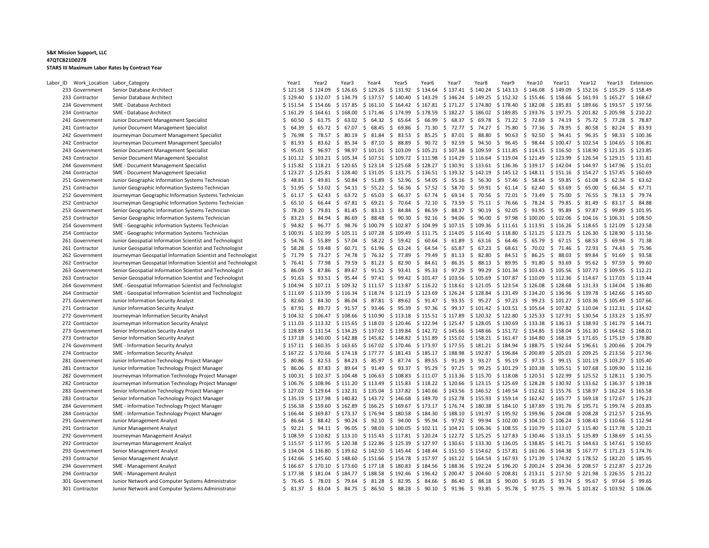| Labor_ID | Work_Location Labor_Category     |                                                              | Year1                | Year2                                           | Year3                   | Year4                              | Year5                        | Year6                                                                                                                   | Year     | Year8                                                                                       | Year9          | Year10                         | Year11      | Year12                                                            | Year13                                                                                                                           | Extension   |
|----------|----------------------------------|--------------------------------------------------------------|----------------------|-------------------------------------------------|-------------------------|------------------------------------|------------------------------|-------------------------------------------------------------------------------------------------------------------------|----------|---------------------------------------------------------------------------------------------|----------------|--------------------------------|-------------|-------------------------------------------------------------------|----------------------------------------------------------------------------------------------------------------------------------|-------------|
|          | 233 Government                   | Senior Database Architect                                    | \$121.58             | $$124.09$ $$126.65$                             |                         | \$129.26                           | \$131.92 \$134.64            |                                                                                                                         |          | $$137.41 \$140.24 \$143.13$                                                                 |                | \$146.08                       |             | $$149.09$ $$152.16$                                               | \$155.29                                                                                                                         | \$158.49    |
|          | 233 Contractor                   | Senior Database Architect                                    | \$129.40             | \$132.07                                        | \$134.79                | \$137.57                           | \$140.40                     |                                                                                                                         |          | $$143.29$ $$146.24$ $$149.25$ $$152.32$ $$155.46$                                           |                |                                |             | $$158.66$ $$161.93$                                               | \$165.27                                                                                                                         | \$168.67    |
|          | 234 Government                   | SME - Database Architect                                     | \$151.54             | \$154.66 \$157.85                               |                         | \$161.10                           |                              | \$164.42 \$167.81 \$171.27 \$174.80 \$178.40 \$182.08                                                                   |          |                                                                                             |                |                                |             | \$185.83 \$189.66                                                 | \$193.57                                                                                                                         | \$197.56    |
|          | 234 Contractor                   | SME - Database Architect                                     | \$161.29             | $$164.61$ $$168.00$                             |                         | \$171.46                           | \$174.99                     | \$178.59                                                                                                                | \$182.27 | $$186.02 \$189.85$                                                                          |                | \$193.76                       |             | \$197.75 \$201.82                                                 | \$205.98                                                                                                                         | \$210.22    |
|          | 241 Government                   | Junior Document Management Specialist                        | 60.50<br>Ś.          | \$61.75                                         | - \$<br>63.02           | \$64.32                            | \$<br>65.64                  | \$ 66.99                                                                                                                | \$68.37  | \$ 69.78 \$ 71.22 \$ 72.69                                                                  |                |                                |             | \$74.19 \$75.72                                                   | \$77.28                                                                                                                          | \$78.87     |
|          | 241 Contractor                   | Junior Document Management Specialist                        | Ś.<br>64.39          | \$                                              | 65.72 \$ 67.07 \$ 68.45 |                                    | \$                           | 69.86 \$71.30 \$72.77 \$74.27 \$75.80                                                                                   |          |                                                                                             |                | \$77.36                        |             | $$78.95$$ \$ 80.58                                                | \$82.24                                                                                                                          | \$83.93     |
|          | 242 Government                   | Journeyman Document Management Specialist                    | Ś.<br>76.98          | 78.57<br>\$                                     | 80.19<br>S.             | \$31.84                            | \$<br>83.53                  | \$85.25\$37.01                                                                                                          |          | 88.80<br>S.                                                                                 | \$90.63        | \$92.50                        | \$          | 94.41 \$ 96.35                                                    | \$98.33                                                                                                                          | \$100.36    |
|          | 242 Contractor                   | Journeyman Document Management Specialist                    | \$.<br>81.93         | \$                                              | 83.62 \$ 85.34 \$ 87.10 |                                    | 88.89<br>\$.                 | \$ 90.72 \$ 92.59                                                                                                       |          | $$94.50 \text{ } $96.45 \text{ } $98.44 \text{ } $100.47 \text{ } $102.54 \text{ } $104.65$ |                |                                |             |                                                                   |                                                                                                                                  | \$106.81    |
|          | 243 Government                   | Senior Document Management Specialist                        | Ś.<br>95.01          | \$                                              |                         | 96.97 \$ 98.97 \$ 101.01 \$ 103.09 |                              | \$105.21 \$107.38                                                                                                       |          | \$109.59 \$111.85                                                                           |                | \$114.15 \$116.50 \$118.90     |             |                                                                   | \$121.35                                                                                                                         | \$123.85    |
|          | 243 Contractor                   | Senior Document Management Specialist                        |                      |                                                 |                         |                                    |                              | \$101.12 \$103.21 \$105.34 \$107.51 \$109.72 \$111.98 \$114.29 \$116.64 \$119.04 \$121.49 \$123.99 \$126.54 \$129.15    |          |                                                                                             |                |                                |             |                                                                   |                                                                                                                                  | \$131.81    |
|          | 244 Government                   | <b>SME - Document Management Specialist</b>                  | \$115.82             |                                                 |                         |                                    |                              | \$118.21 \$120.65 \$123.14 \$125.68 \$128.27 \$130.91 \$133.61 \$136.36 \$139.17 \$142.04 \$144.97 \$147.96             |          |                                                                                             |                |                                |             |                                                                   |                                                                                                                                  | \$151.01    |
|          | 244 Contractor                   | SME - Document Management Specialist                         |                      | $$123.27$ $$125.81$ $$128.40$ $$131.05$         |                         |                                    |                              | $$133.75$ $$136.51$ $$139.32$ $$142.19$ $$145.12$ $$148.11$ $$151.16$ $$154.27$ $$157.45$                               |          |                                                                                             |                |                                |             |                                                                   |                                                                                                                                  | \$160.69    |
|          | 251 Government                   | Junior Geographic Information Systems Technician             | 48.81<br>S.          | \$49.81 \$50.84 \$51.89                         |                         |                                    |                              | \$52.96 \$54.05 \$55.16                                                                                                 |          | \$56.30 \$57.46 \$58.64                                                                     |                |                                |             | \$59.85\$61.08                                                    | \$ 62.34                                                                                                                         | \$63.62     |
|          | 251 Contractor                   | Junior Geographic Information Systems Technician             | \$51.95              |                                                 |                         | $$53.02 \t$ 54.11 \t$ 55.22 \t$$   |                              | 56.36 \$ 57.52 \$ 58.70 \$ 59.91 \$ 61.14 \$ 62.40 \$ 63.69 \$ 65.00                                                    |          |                                                                                             |                |                                |             |                                                                   | \$ 66.34                                                                                                                         | \$67.71     |
|          | 252 Government                   | Journeyman Geographic Information Systems Technician         | Ŝ.<br>61.17          | S.<br>62.43                                     | \$63.72\$65.03          |                                    | \$                           | 66.37 \$ 67.74 \$ 69.14 \$ 70.56 \$ 72.01                                                                               |          |                                                                                             |                | \$73.49                        | \$ 75.00    | \$76.55                                                           | \$78.13                                                                                                                          | \$ 79.74    |
|          | 252 Contractor                   | Journeyman Geographic Information Systems Technician         | S.<br>65.10          | \$<br>66.44 \$                                  |                         |                                    |                              | 67.81 \$ 69.21 \$ 70.64 \$ 72.10 \$ 73.59                                                                               |          | \$75.11\$76.66                                                                              |                | \$78.24 \$                     | 79.85       | \$31.49                                                           | \$ 83.17                                                                                                                         | \$84.88     |
|          | 253 Government                   | Senior Geographic Information Systems Technician             | 78.20<br>S.          | $$79.81$ \$ 81.45 \$ 83.13                      |                         |                                    |                              | \$ 84.84 \$ 86.59 \$ 88.37 \$ 90.19 \$ 92.05 \$ 93.95 \$ 95.89 \$ 97.87                                                 |          |                                                                                             |                |                                |             |                                                                   | \$99.89                                                                                                                          | \$101.95    |
|          | 253 Contractor                   | Senior Geographic Information Systems Technician             | Ŝ.<br>83.23          | 84.94 \$<br>S.                                  | 86.69                   | \$ 88.48                           | \$                           | 90.30 \$ 92.16 \$ 94.06 \$ 96.00 \$ 97.98 \$ 100.00 \$ 102.06 \$ 104.16                                                 |          |                                                                                             |                |                                |             |                                                                   | \$106.31                                                                                                                         | \$108.50    |
|          | 254 Government                   | SME - Geographic Information Systems Technician              | 94.82<br>\$          | \$                                              |                         |                                    |                              | 96.77 \$ 98.76 \$ 100.79 \$ 102.87 \$ 104.99 \$ 107.15 \$ 109.36 \$ 111.61 \$ 113.91 \$ 116.26 \$ 118.65 \$ 121.09      |          |                                                                                             |                |                                |             |                                                                   |                                                                                                                                  | \$123.58    |
|          | 254 Contractor                   | SME - Geographic Information Systems Technician              | \$100.91             | \$102.99                                        | $$105.11 \$107.28$      |                                    |                              | \$109.49 \$111.75 \$114.05                                                                                              |          | $$116.40 \$118.80 \$121.25 \$123.75 \$126.30$                                               |                |                                |             |                                                                   | \$128.90                                                                                                                         | \$131.56    |
|          | 261 Government                   | Junior Geospatial Information Scientist and Technologist     | \$54.76              | 55.89<br>\$                                     | \$57.04\$558.22         |                                    | \$59.42\$60.64               |                                                                                                                         | \$61.89  | $$63.16$$ \$64.46                                                                           |                | \$ 65.79                       |             | \$67.15\$68.53                                                    | \$69.94                                                                                                                          | \$71.38     |
|          | 261 Contractor                   | Junior Geospatial Information Scientist and Technologist     | \$58.28              | -S                                              | 59.48 \$ 60.71 \$ 61.96 |                                    | - \$                         | 63.24 \$ 64.54 \$ 65.87 \$ 67.23 \$ 68.61 \$ 70.02 \$ 71.46 \$ 72.93                                                    |          |                                                                                             |                |                                |             |                                                                   | \$74.43                                                                                                                          | \$75.96     |
|          | 262 Government                   | Journeyman Geospatial Information Scientist and Technologist | \$71.79              | \$<br>73.27                                     | \$<br>74.78             | \$76.32                            | 77.89<br>$\ddot{\mathsf{S}}$ | $$79.49$$ $$81.13$$ $$82.80$                                                                                            |          |                                                                                             | \$84.51        | \$86.25                        | 88.03<br>\$ | \$ 89.84                                                          | \$91.69                                                                                                                          | \$<br>93.58 |
|          | 262 Contractor                   | Journeyman Geospatial Information Scientist and Technologist | Ś.<br>76.41          | \$<br>77.98                                     | 79.59<br>- \$           | \$31.23                            | \$<br>82.90                  | $$84.61$$ \$ 86.35                                                                                                      |          | - \$                                                                                        | 88.13 \$ 89.95 | \$91.80                        | \$93.69     | \$95.62                                                           | \$97.59                                                                                                                          | \$99.60     |
|          | 263 Government                   | Senior Geospatial Information Scientist and Technologist     | \$<br>86.09          | \$ 87.86                                        |                         |                                    |                              | \$ 89.67 \$ 91.52 \$ 93.41 \$ 95.33 \$ 97.29 \$ 99.29 \$ 101.34 \$ 103.43 \$ 105.56 \$ 107.73                           |          |                                                                                             |                |                                |             |                                                                   | \$109.95                                                                                                                         | \$112.21    |
|          | 263 Contractor                   | Senior Geospatial Information Scientist and Technologist     | \$<br>91.63          | S.<br>93.51 \$                                  | 95.44                   | \$97.41                            | - \$                         | 99.42 \$101.47 \$103.56                                                                                                 |          | \$105.69                                                                                    | \$107.87       | \$110.09                       |             | \$112.36 \$114.67                                                 | \$117.03                                                                                                                         | \$119.44    |
|          | 264 Government                   | SME - Geospatial Information Scientist and Technologist      | \$104.94             |                                                 |                         |                                    |                              | \$107.11 \$109.32 \$111.57 \$113.87 \$116.22 \$118.61 \$121.05 \$123.54 \$126.08 \$128.68 \$131.33 \$134.04             |          |                                                                                             |                |                                |             |                                                                   |                                                                                                                                  | \$136.80    |
|          | 264 Contractor                   | SME - Geospatial Information Scientist and Technologist      | \$111.69             |                                                 |                         |                                    |                              | \$113.99 \$116.34 \$118.74 \$121.19 \$123.69 \$126.24 \$128.84 \$131.49 \$134.20 \$136.96 \$139.78                      |          |                                                                                             |                |                                |             |                                                                   | \$142.66                                                                                                                         | \$145.60    |
|          | 271 Government                   | Junior Information Security Analyst                          | \$82.60              | \$<br>84.30                                     | \$86.04\$587.81         |                                    |                              | \$89.62\$31.47\$33.35                                                                                                   |          | \$95.27\$97.23                                                                              |                | $$99.23$$ $$101.27$$ $$103.36$ |             |                                                                   | \$105.49                                                                                                                         | \$107.66    |
|          | 271 Contractor                   | Junior Information Security Analyst                          | \$ 87.91             | \$                                              | 89.72 \$ 91.57 \$ 93.46 |                                    | \$                           | 95.39 \$ 97.36 \$ 99.37 \$ 101.42 \$ 103.51 \$ 105.64 \$ 107.82 \$ 110.04 \$ 112.31                                     |          |                                                                                             |                |                                |             |                                                                   |                                                                                                                                  | \$114.62    |
|          | 272 Government                   | Journeyman Information Security Analyst                      | \$104.32             | $$106.47$ $$108.66$ $$110.90$                   |                         |                                    |                              | \$113.18 \$115.51 \$117.89                                                                                              |          | $$120.32$ $$122.80$ $$125.33$ $$127.91$ $$130.54$ $$133.23$                                 |                |                                |             |                                                                   |                                                                                                                                  | \$135.97    |
|          | 272 Contractor                   | Journeyman Information Security Analyst                      | \$111.03             | $$113.32 \t$115.65$                             |                         | \$118.03                           |                              | \$120.46 \$122.94 \$125.47 \$128.05 \$130.69                                                                            |          |                                                                                             |                |                                |             | \$133.38 \$136.13 \$138.93                                        | \$141.79                                                                                                                         | \$144.71    |
|          | 273 Government                   | Senior Information Security Analyst                          | \$128.89             |                                                 |                         |                                    |                              | $$131.54$ $$134.25$ $$137.02$ $$139.84$ $$142.72$ $$145.66$ $$148.66$ $$151.72$ $$154.85$ $$158.04$ $$161.30$ $$164.62$ |          |                                                                                             |                |                                |             |                                                                   |                                                                                                                                  | \$168.01    |
|          | 273 Contractor                   | Senior Information Security Analyst                          | \$137.18             | \$140.00 \$142.88                               |                         |                                    |                              | \$145.82 \$148.82 \$151.89 \$155.02 \$158.21 \$161.47                                                                   |          |                                                                                             |                | \$164.80                       |             | \$168.19 \$171.65                                                 | \$175.19                                                                                                                         | \$178.80    |
|          | 274 Government                   | SME - Information Security Analyst                           |                      |                                                 |                         |                                    |                              | \$157.11 \$160.35 \$163.65 \$167.02 \$170.46 \$173.97 \$177.55 \$181.21 \$184.94 \$188.75 \$192.64 \$196.61 \$200.66    |          |                                                                                             |                |                                |             |                                                                   |                                                                                                                                  | \$204.79    |
|          | 274 Contractor                   | SME - Information Security Analyst                           |                      |                                                 |                         |                                    |                              | \$167.22 \$170.66 \$174.18 \$177.77 \$181.43 \$185.17 \$188.98 \$192.87 \$196.84 \$200.89 \$205.03 \$209.25 \$213.56    |          |                                                                                             |                |                                |             |                                                                   |                                                                                                                                  | \$217.96    |
|          | 281 Government                   | Junior Information Technology Project Manager                | \$80.86              | \$ 82.53 \$ 84.23 \$ 85.97                      |                         |                                    | $\mathsf{S}$                 | 87.74 \$ 89.55 \$ 91.39                                                                                                 |          | \$93.27\$595.19                                                                             |                | \$ 97.15 \$ 99.15 \$ 101.19    |             |                                                                   | \$103.27                                                                                                                         | \$105.40    |
|          | 281 Contractor                   | Junior Information Technology Project Manager                | \$86.06              | \$                                              | 87.83 \$ 89.64 \$ 91.49 |                                    | \$                           | 93.37 \$ 95.29 \$ 97.25 \$ 99.25 \$ 101.29 \$ 103.38 \$ 105.51 \$ 107.68                                                |          |                                                                                             |                |                                |             |                                                                   | \$109.90                                                                                                                         | \$112.16    |
|          | 282 Government                   | Journeyman Information Technology Project Manager            | \$100.31             | $$102.37$ $$104.48$ $$106.63$                   |                         |                                    |                              | $$108.83$ $$111.07$ $$113.36$ $$115.70$ $$118.08$ $$120.51$ $$122.99$ $$125.52$ $$128.11$                               |          |                                                                                             |                |                                |             |                                                                   |                                                                                                                                  | \$130.75    |
|          | 282 Contractor                   | Journeyman Information Technology Project Manager            | \$106.76             | $$108.96$ $$111.20$ $$113.49$                   |                         |                                    |                              | $$115.83$ $$118.22$ $$120.66$ $$123.15$ $$125.69$                                                                       |          |                                                                                             |                |                                |             | $$128.28 \text{ } $130.92 \text{ } $133.62 \text{ } $136.37$      |                                                                                                                                  | \$139.18    |
|          | 283 Government                   | Senior Information Technology Project Manager                | \$127.02             | $$129.64$ $$132.31$ $$135.04$                   |                         |                                    |                              | $$137.82$ $$140.66$ $$143.56$ $$146.52$ $$149.54$ $$152.62$ $$155.76$ $$158.97$ $$162.24$                               |          |                                                                                             |                |                                |             |                                                                   |                                                                                                                                  | \$165.58    |
|          | 283 Contractor                   | Senior Information Technology Project Manager                | \$135.19             | \$137.98 \$140.82                               |                         | \$143.72                           | \$146.68                     | \$149.70                                                                                                                | \$152.78 | $$155.93 \t$ 159.14 \t$ 162.42 \t$ 165.77 \t$ 169.18$                                       |                |                                |             |                                                                   | \$172.67                                                                                                                         | \$176.23    |
|          | 284 Government                   | SME - Information Technology Project Manager                 | \$156.38             | $$159.60$ $$162.89$                             |                         | \$166.25                           | $$169.67$ $$173.17$          |                                                                                                                         |          | \$176.74 \$180.38 \$184.10 \$187.89                                                         |                |                                |             | \$191.76 \$195.71 \$199.74                                        |                                                                                                                                  | \$203.85    |
|          | 284 Contractor                   | SME - Information Technology Project Manager                 | \$166.44             | \$169.87 \$173.37 \$176.94                      |                         |                                    |                              | \$180.58 \$184.30 \$188.10 \$191.97 \$195.92 \$199.96 \$204.08 \$208.28                                                 |          |                                                                                             |                |                                |             |                                                                   | \$212.57                                                                                                                         | \$216.95    |
|          | 291 Government                   | Junior Management Analyst                                    | \$86.64              | -S                                              | 88.42 \$ 90.24          | \$92.10                            | S.<br>94.00                  | \$95.94                                                                                                                 | \$97.92  | \$99.94 \$102.00                                                                            |                | \$104.10                       |             | \$106.24 \$108.43                                                 | \$110.66                                                                                                                         | \$112.94    |
|          | 291 Contractor                   | Junior Management Analyst                                    | \$92.21              | $$94.11 \$96.05$                                |                         | \$98.03                            |                              | $$100.05$ $$102.11$ $$104.21$ $$106.36$ $$108.55$                                                                       |          |                                                                                             |                | \$110.79 \$113.07 \$115.40     |             |                                                                   | \$117.78                                                                                                                         | \$120.21    |
|          | 292 Government                   | Journeyman Management Analyst                                | \$108.59             | $$110.82 \$113.10 \$115.43$                     |                         |                                    |                              | $$117.81$ $$120.24$ $$122.72$ $$125.25$ $$127.83$                                                                       |          |                                                                                             |                | $$130.46$ $$133.15$ $$135.89$  |             |                                                                   | \$138.69                                                                                                                         | \$141.55    |
|          | 292 Contractor                   | Journeyman Management Analyst                                | \$115.57             | \$117.95 \$120.38 \$122.86                      |                         |                                    |                              | $$125.39$ $$127.97$ $$130.61$ $$133.30$ $$136.05$                                                                       |          |                                                                                             |                |                                |             | \$138.85 \$141.71 \$144.63                                        | \$147.61                                                                                                                         | \$150.65    |
|          |                                  |                                                              |                      |                                                 |                         |                                    |                              |                                                                                                                         |          | $$154.62 \$157.81$                                                                          |                |                                |             |                                                                   |                                                                                                                                  | \$174.76    |
|          | 293 Government<br>293 Contractor | Senior Management Analyst<br>Senior Management Analyst       | \$134.04<br>\$142.66 | \$136.80 \$139.62 \$142.50<br>\$145.60 \$148.60 |                         | \$151.66                           | \$145.44 \$148.44            | \$154.78 \$157.97 \$161.22 \$164.54 \$167.93                                                                            | \$151.50 |                                                                                             |                | \$171.39                       |             | \$161.06 \$164.38 \$167.77 \$171.23<br>\$174.92 \$178.52 \$182.20 |                                                                                                                                  | \$185.95    |
|          | 294 Government                   | SME - Management Analyst                                     | \$166.67             | \$170.10 \$173.60                               |                         | \$177.18                           |                              | $$180.83$ $$184.56$ $$188.36$ $$192.24$ $$196.20$ $$200.24$ $$204.36$ $$208.57$ $$212.87$                               |          |                                                                                             |                |                                |             |                                                                   |                                                                                                                                  | \$217.26    |
|          | 294 Contractor                   | SME - Management Analyst                                     | \$177.38             |                                                 |                         |                                    |                              | \$181.04 \$184.77 \$188.58 \$192.46 \$196.42 \$200.47 \$204.60 \$208.81 \$213.11 \$217.50 \$221.98 \$226.55             |          |                                                                                             |                |                                |             |                                                                   |                                                                                                                                  | \$231.22    |
|          | 301 Government                   | Junior Network and Computer Systems Administrator            | \$76.45              |                                                 |                         |                                    |                              | \$ 78.03 \$ 79.64 \$ 81.28 \$ 82.95 \$ 84.66 \$ 86.40 \$ 88.18 \$ 90.00 \$ 91.85 \$ 93.74 \$ 95.67 \$ 97.64             |          |                                                                                             |                |                                |             |                                                                   |                                                                                                                                  | \$99.65     |
|          | 301 Contractor                   | Junior Network and Computer Systems Administrator            |                      |                                                 |                         |                                    |                              |                                                                                                                         |          |                                                                                             |                |                                |             |                                                                   | \$ 81.37 \$ 83.04 \$ 84.75 \$ 86.50 \$ 88.28 \$ 90.10 \$ 91.96 \$ 93.85 \$ 95.78 \$ 97.75 \$ 99.76 \$ 101.82 \$ 103.92 \$ 106.06 |             |
|          |                                  |                                                              |                      |                                                 |                         |                                    |                              |                                                                                                                         |          |                                                                                             |                |                                |             |                                                                   |                                                                                                                                  |             |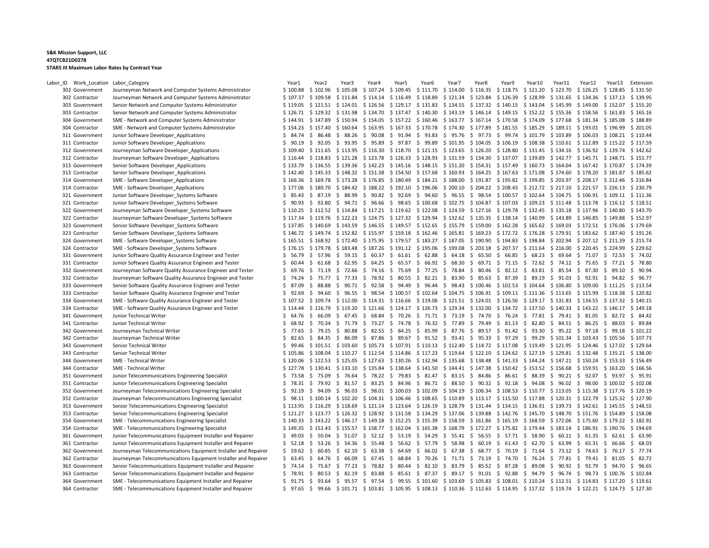| Labor_ID | Work_Location Labor_Category     |                                                                                                                                  | Year1                  | Year <sub>2</sub>                  | Year3                 | Year4                     | Year                                              | Year6                                                                                                                                     | Year7      | Year8                           | Year9                                                                 | Year10                                  | Year11         | Year12                                  | Year13                              | Extension |
|----------|----------------------------------|----------------------------------------------------------------------------------------------------------------------------------|------------------------|------------------------------------|-----------------------|---------------------------|---------------------------------------------------|-------------------------------------------------------------------------------------------------------------------------------------------|------------|---------------------------------|-----------------------------------------------------------------------|-----------------------------------------|----------------|-----------------------------------------|-------------------------------------|-----------|
|          | 302 Government                   | Journeyman Network and Computer Systems Administrator                                                                            | \$100.88               | $$102.96$ $$105.08$                |                       | \$107.24                  | $$109.45$ $$111.70$                               |                                                                                                                                           | \$114.00   | $$116.35 \t$118.75$             |                                                                       | \$121.20                                |                | $$123.70 \$126.25$                      | \$128.85                            | \$131.50  |
|          | 302 Contractor                   | Journeyman Network and Computer Systems Administrator                                                                            | \$107.37               | $$109.58$ $$111.84$                |                       | \$114.14                  | $$116.49$ $$118.89$                               |                                                                                                                                           |            | $$121.34$ $$123.84$ $$126.39$   |                                                                       | \$128.99                                |                | $$131.65$ $$134.36$                     | \$137.13                            | \$139.95  |
|          | 303 Government                   | Senior Network and Computer Systems Administrator                                                                                | \$119.05               | $$121.51$ $$124.01$ $$126.56$      |                       |                           | \$129.17 \$131.83                                 |                                                                                                                                           |            | $$134.55$ $$137.32$ $$140.15$   |                                                                       | \$143.04                                |                | \$145.99 \$149.00                       | \$152.07                            | \$155.20  |
|          | 303 Contractor                   | Senior Network and Computer Systems Administrator                                                                                | \$126.71               | $$129.32$ $$131.98$                |                       | \$134.70                  | $$137.47$ $$140.30$                               |                                                                                                                                           |            | $$143.19 \t$ 146.14 \t$ 149.15$ |                                                                       | $$152.22 \t$155.36 \t$158.56$           |                |                                         | \$161.83                            | \$165.16  |
|          | 304 Government                   | SME - Network and Computer Systems Administrator                                                                                 | \$144.91               | \$147.89 \$150.94                  |                       | \$154.05                  | $$157.22 \t$160.46$                               |                                                                                                                                           |            | $$163.77$ $$167.14$ $$170.58$   |                                                                       |                                         |                | \$174.09 \$177.68 \$181.34 \$185.08     |                                     | \$188.89  |
|          | 304 Contractor                   | SME - Network and Computer Systems Administrator                                                                                 | \$154.23               | $$157.40 \$160.64 \$163.95$        |                       |                           | \$167.33 \$170.78                                 |                                                                                                                                           |            | \$174.30 \$177.89 \$181.55      |                                                                       | $$185.29$ $$189.11$ $$193.01$ $$196.99$ |                |                                         |                                     | \$201.05  |
|          | 311 Government                   | Junior Software Developer Applications                                                                                           | S.<br>84.74            | \$<br>86.48                        | \$ 88.26              | \$90.08                   | \$<br>91.94                                       | \$93.83                                                                                                                                   | \$95.76    | \$97.73                         | \$99.74                                                               | \$101.79                                |                | $$103.89$ $$106.03$                     | \$108.21                            | \$110.44  |
|          | 311 Contractor                   | Junior Software Developer Applications                                                                                           | \$.<br>90.19           | \$                                 | 92.05 \$ 93.95        | \$95.89                   | \$97.87\$99.89                                    |                                                                                                                                           | \$101.95   | $$104.05$ \$106.19              |                                                                       | $$108.38 \t$110.61 \t$112.89$           |                |                                         | \$115.22                            | \$117.59  |
|          | 312 Government                   | Journeyman Software Developer Applications                                                                                       | \$109.40               | $$111.65 \t$113.95 \t$116.30$      |                       |                           |                                                   | \$118.70 \$121.15 \$123.65                                                                                                                |            | \$126.20                        | \$128.80                                                              |                                         |                | \$131.45 \$134.16 \$136.92 \$139.74     |                                     | \$142.62  |
|          | 312 Contractor                   | Journeyman Software Developer Applications                                                                                       | \$116.44               | $$118.83$ $$121.28$ $$123.78$      |                       |                           |                                                   | $$126.33 \t$ 128.93 \t$ 131.59 \t$ 134.30 \t$ 137.07$                                                                                     |            |                                 |                                                                       | \$139.89                                |                |                                         | \$142.77 \$145.71 \$148.71 \$151.77 |           |
|          | 313 Government                   | Senior Software Developer Applications                                                                                           | \$133.79               | $$136.55 \t$139.36 \t$142.23$      |                       |                           |                                                   | $$145.16$ $$148.15$ $$151.20$ $$154.31$ $$157.49$                                                                                         |            |                                 |                                                                       | \$160.73 \$164.04 \$167.42 \$170.87     |                |                                         |                                     | \$174.39  |
|          | 313 Contractor                   | Senior Software Developer Applications                                                                                           | \$142.40               |                                    |                       |                           |                                                   | $$145.33$ $$148.32$ $$151.38$ $$154.50$ $$157.68$ $$160.93$ $$164.25$ $$167.63$                                                           |            |                                 |                                                                       |                                         |                |                                         | \$171.08 \$174.60 \$178.20 \$181.87 | \$185.62  |
|          | 314 Government                   | SME - Software Developer Applications                                                                                            | \$166.36               | \$169.78 \$173.28                  |                       | \$176.85                  |                                                   | \$180.49 \$184.21 \$188.00 \$191.87 \$195.82 \$199.85 \$203.97 \$208.17 \$212.46                                                          |            |                                 |                                                                       |                                         |                |                                         |                                     | \$216.84  |
|          | 314 Contractor                   | SME - Software Developer Applications                                                                                            | \$177.06               |                                    |                       |                           |                                                   | $$180.70$ $$184.42$ $$188.22$ $$192.10$ $$196.06$ $$200.10$ $$204.22$ $$208.43$                                                           |            |                                 |                                                                       |                                         |                |                                         | \$212.72 \$217.10 \$221.57 \$226.13 | \$230.79  |
|          | 321 Government                   | Junior Software Developer Systems Software                                                                                       | \$85.43                | 87.19<br>S.                        | \$ 88.99              | \$90.82                   | \$<br>92.69                                       | \$94.60                                                                                                                                   | \$96.55    | \$                              | 98.54 \$ 100.57                                                       | \$102.64                                |                | $$104.75 \t$106.91 \t$109.11$           |                                     | \$111.36  |
|          | 321 Contractor                   | Junior Software Developer Systems Software                                                                                       | S.<br>90.93            | \$                                 |                       | 92.80 \$ 94.71 \$ 96.66   | \$                                                | 98.65 \$100.68                                                                                                                            |            | \$102.75 \$104.87 \$107.03      |                                                                       | \$109.23 \$111.48 \$113.78              |                |                                         | \$116.12                            | \$118.51  |
|          | 322 Government                   | Journeyman Software Developer_Systems Software                                                                                   | \$110.25               |                                    |                       |                           |                                                   | \$112.52 \$114.84 \$117.21 \$119.62 \$122.08 \$124.59 \$127.16 \$129.78 \$132.45 \$135.18 \$137.96 \$140.80                               |            |                                 |                                                                       |                                         |                |                                         |                                     | \$143.70  |
|          | 322 Contractor                   | Journeyman Software Developer Systems Software                                                                                   | \$117.34               | \$119.76 \$122.23 \$124.75         |                       |                           |                                                   | \$127.32 \$129.94 \$132.62 \$135.35 \$138.14                                                                                              |            |                                 |                                                                       | \$140.99                                |                | \$143.89 \$146.85                       | \$149.88                            | \$152.97  |
|          | 323 Government                   | Senior Software Developer_Systems Software                                                                                       | \$137.85               | $$140.69$ $$143.59$                |                       |                           |                                                   | $$146.55 \t$149.57 \t$152.65 \t$155.79 \t$159.00$                                                                                         |            |                                 | $$162.28$ $$165.62$ $$169.03$ $$172.51$ $$176.06$                     |                                         |                |                                         |                                     | \$179.69  |
|          | 323 Contractor                   | Senior Software Developer Systems Software                                                                                       | \$146.72               |                                    |                       |                           |                                                   | \$149.74 \$152.82 \$155.97 \$159.18 \$162.46 \$165.81 \$169.23 \$172.72 \$176.28 \$179.91 \$183.62 \$187.40                               |            |                                 |                                                                       |                                         |                |                                         |                                     | \$191.26  |
|          | 324 Government                   | SME - Software Developer_Systems Software                                                                                        |                        | $$165.51$ $$168.92$ $$172.40$      |                       | \$175.95                  |                                                   | \$179.57 \$183.27 \$187.05                                                                                                                |            | $$190.90$$ $$194.83$            |                                                                       |                                         |                | $$198.84$ $$202.94$ $$207.12$ $$211.39$ |                                     | \$215.74  |
|          | 324 Contractor                   | SME - Software Developer Systems Software                                                                                        | \$176.15               |                                    |                       |                           |                                                   | \$179.78 \$183.48 \$187.26 \$191.12 \$195.06 \$199.08 \$203.18 \$207.37 \$211.64 \$216.00 \$220.45 \$224.99                               |            |                                 |                                                                       |                                         |                |                                         |                                     | \$229.62  |
|          | 331 Government                   | Junior Software Quality Assurance Engineer and Tester                                                                            | \$<br>56.79            | 57.96<br>\$                        | \$<br>59.15           | \$60.37                   | \$                                                | $61.61 \div 62.88$                                                                                                                        | \$64.18    | \$65.50                         | \$66.85                                                               | \$68.23                                 | \$69.64        | \$71.07                                 | \$72.53                             | \$74.02   |
|          | 331 Contractor                   | Junior Software Quality Assurance Engineer and Tester                                                                            | Ŝ.<br>60.44            | \$<br>61.68                        | - \$<br>62.95         | \$64.25                   | S.                                                | 65.57 \$ 66.92                                                                                                                            | \$68.30    | - \$                            | 69.71 \$ 71.15                                                        | $$72.62$$ $$74.12$$ $$75.65$            |                |                                         | \$77.21                             | \$78.80   |
|          | 332 Government                   | Journeyman Software Quality Assurance Engineer and Tester                                                                        | \$<br>69.76            |                                    |                       |                           |                                                   | $$71.19$ $$72.66$ $$74.16$ $$75.69$ $$77.25$ $$78.84$ $$80.46$ $$82.12$ $$83.81$ $$85.54$ $$87.30$                                        |            |                                 |                                                                       |                                         |                |                                         | \$89.10                             | \$90.94   |
|          | 332 Contractor                   | Journeyman Software Quality Assurance Engineer and Tester                                                                        | S.<br>74.24            | 75.77<br>S.                        | S.<br>77.33           | \$78.92                   | 80.55<br>S.                                       | \$82.21                                                                                                                                   | \$ 83.90   | 85.63<br>- \$                   | \$ 87.39                                                              | \$89.19                                 | \$91.03        | \$92.91                                 | \$94.82                             | \$96.77   |
|          | 333 Government                   | Senior Software Quality Assurance Engineer and Tester                                                                            | \$<br>87.09            | \$<br>88.88                        |                       | $$90.71$$ $$92.58$        |                                                   | $$94.49$ $$96.44$ $$98.43$ $$100.46$ $$102.53$ $$104.64$ $$106.80$ $$109.00$                                                              |            |                                 |                                                                       |                                         |                |                                         | \$111.25                            | \$113.54  |
|          | 333 Contractor                   | Senior Software Quality Assurance Engineer and Tester                                                                            | Ŝ.<br>92.69            | \$<br>94.60                        | \$96.55               | \$98.54                   |                                                   | $$100.57$ $$102.64$ $$104.75$ $$106.91$ $$109.11$ $$111.36$ $$113.65$ $$115.99$ $$118.38$                                                 |            |                                 |                                                                       |                                         |                |                                         |                                     | \$120.82  |
|          | 334 Government                   | SME - Software Quality Assurance Engineer and Tester                                                                             | \$107.52               | \$109.74 \$112.00                  |                       |                           |                                                   | $$114.31$ $$116.66$ $$119.06$ $$121.51$ $$124.01$ $$126.56$ $$129.17$ $$131.83$ $$134.55$ $$137.32$                                       |            |                                 |                                                                       |                                         |                |                                         |                                     | \$140.15  |
|          | 334 Contractor                   | SME - Software Quality Assurance Engineer and Tester                                                                             | \$114.44               | \$116.79 \$119.20                  |                       |                           |                                                   | $$121.66$ $$124.17$ $$126.73$ $$129.34$ $$132.00$ $$134.72$ $$137.50$                                                                     |            |                                 |                                                                       |                                         |                | \$140.33 \$143.22 \$146.17              |                                     | \$149.18  |
|          | 341 Government                   | Junior Technical Writer                                                                                                          | \$<br>64.76            | \$                                 | 66.09 \$ 67.45        | \$68.84                   |                                                   | $$70.26$$ $$71.71$$ $$73.19$                                                                                                              |            | \$74.70                         | \$76.24                                                               | \$77.81                                 |                | \$79.41\$30.05                          | \$82.72                             | \$84.42   |
|          | 341 Contractor                   | Junior Technical Writer                                                                                                          | Ŝ<br>68.92             | S.                                 | 70.34 \$ 71.79        | \$73.27                   | \$74.78                                           | \$76.32 \$77.89                                                                                                                           |            | \$<br>79.49                     | \$31.13                                                               | \$ 82.80                                |                | $$84.51 \$86.25$                        | \$ 88.03                            | \$89.84   |
|          | 342 Government                   | Journeyman Technical Writer                                                                                                      | Ŝ.<br>77.65            | \$                                 | 79.25 \$ 80.88        | \$82.55                   |                                                   | $$84.25$ $$85.99$ $$87.76$ $$89.57$ $$91.42$ $$93.30$ $$95.22$ $$97.18$                                                                   |            |                                 |                                                                       |                                         |                |                                         | \$99.18                             | \$101.22  |
|          | 342 Contractor                   | Journeyman Technical Writer                                                                                                      | \$<br>82.65            | \$                                 | 84.35 \$ 86.09        | \$ 87.86                  | \$                                                | 89.67 \$ 91.52 \$ 93.41 \$ 95.33 \$ 97.29                                                                                                 |            |                                 |                                                                       | \$99.29 \$101.34 \$103.43 \$105.56      |                |                                         |                                     | \$107.73  |
|          | 343 Government                   | Senior Technical Writer                                                                                                          | \$<br>99.46            | \$101.51 \$103.60                  |                       |                           |                                                   | $$105.73$ $$107.91$ $$110.13$ $$112.40$ $$114.72$ $$117.08$ $$119.49$ $$121.95$ $$124.46$ $$127.02$                                       |            |                                 |                                                                       |                                         |                |                                         |                                     | \$129.64  |
|          | 343 Contractor                   | Senior Technical Writer                                                                                                          | \$105.86               |                                    |                       |                           |                                                   | \$108.04 \$110.27 \$112.54 \$114.86 \$117.23 \$119.64 \$122.10 \$124.62 \$127.19 \$129.81 \$132.48 \$135.21 \$138.00                      |            |                                 |                                                                       |                                         |                |                                         |                                     |           |
|          | 344 Government                   | SME - Technical Writer                                                                                                           | \$120.06               |                                    |                       |                           |                                                   | \$122.53 \$125.05 \$127.63 \$130.26 \$132.94 \$135.68 \$138.48 \$141.33 \$144.24 \$147.21 \$150.24 \$153.33                               |            |                                 |                                                                       |                                         |                |                                         |                                     | \$156.49  |
|          | 344 Contractor                   | SME - Technical Writer                                                                                                           | \$127.78               | $$130.41$ $$133.10$                |                       | \$135.84                  |                                                   | $$138.64$ $$141.50$ $$144.41$ $$147.38$ $$150.42$ $$153.52$ $$156.68$ $$159.91$ $$163.20$                                                 |            |                                 |                                                                       |                                         |                |                                         |                                     | \$166.56  |
|          | 351 Government                   | Junior Telecommunications Engineering Specialist                                                                                 | \$73.58                | $$75.09$$ $$76.64$$ $$78.22$       |                       |                           |                                                   | $$79.83$$ $$81.47$$ $$83.15$$ $$84.86$                                                                                                    |            |                                 | \$86.61\$38.39                                                        |                                         |                | \$ 90.21 \$ 92.07 \$ 93.97              |                                     | \$95.91   |
|          | 351 Contractor                   | Junior Telecommunications Engineering Specialist                                                                                 | Ŝ.<br>78.31            | \$                                 |                       | 79.92 \$ 81.57 \$ 83.25   |                                                   | \$ 84.96 \$ 86.71 \$ 88.50 \$ 90.32 \$ 92.18                                                                                              |            |                                 |                                                                       | \$ 94.08 \$ 96.02 \$ 98.00              |                |                                         | \$100.02                            | \$102.08  |
|          | 352 Government                   | Journeyman Telecommunications Engineering Specialist                                                                             | \$<br>92.19            | \$                                 |                       |                           |                                                   | 94.09 \$ 96.03 \$ 98.01 \$ 100.03 \$ 102.09 \$ 104.19 \$ 106.34 \$ 108.53 \$ 110.77 \$ 113.05 \$ 115.38 \$ 117.76                         |            |                                 |                                                                       |                                         |                |                                         |                                     | \$120.19  |
|          | 352 Contractor                   | Journeyman Telecommunications Engineering Specialist                                                                             | S.<br>98.11            | $$100.14 \$102.20$                 |                       | \$104.31                  | \$106.46 \$108.65                                 |                                                                                                                                           |            |                                 | $$110.89$ $$113.17$ $$115.50$ $$117.88$                               |                                         |                | \$120.31 \$122.79                       | \$125.32                            | \$127.90  |
|          | 353 Government                   | Senior Telecommunications Engineering Specialist                                                                                 | \$113.95               | $$116.29$ $$118.69$                |                       | \$121.14                  | $$123.64$ $$126.19$                               |                                                                                                                                           |            | $$128.79$ $$131.44$ $$134.15$   |                                                                       | $$136.91$ $$139.73$ $$142.61$ $$145.55$ |                |                                         |                                     | \$148.55  |
|          | 353 Contractor                   | Senior Telecommunications Engineering Specialist                                                                                 | \$121.27               |                                    |                       |                           |                                                   | \$123.77 \$126.32 \$128.92 \$131.58 \$134.29 \$137.06 \$139.88 \$142.76 \$145.70 \$148.70 \$151.76 \$154.89                               |            |                                 |                                                                       |                                         |                |                                         |                                     | \$158.08  |
|          | 354 Government                   | SME - Telecommunications Engineering Specialist                                                                                  | \$140.33               | \$143.22 \$146.17                  |                       | \$149.18                  | \$152.25 \$155.39                                 |                                                                                                                                           | \$158.59   | \$161.86 \$165.19               |                                                                       | \$168.59                                |                | \$172.06 \$175.60                       | \$179.22                            | \$182.91  |
|          | 354 Contractor                   | SME - Telecommunications Engineering Specialist                                                                                  | \$149.35               |                                    |                       |                           | $$152.43$ $$155.57$ $$158.77$ $$162.04$ $$165.38$ |                                                                                                                                           |            |                                 | $$168.79$ $$172.27$ $$175.82$ $$179.44$ $$183.14$ $$186.91$ $$190.76$ |                                         |                |                                         |                                     | \$194.69  |
|          | 361 Government                   | Junior Telecommunications Equipment Installer and Repairer                                                                       | \$49.03                | \$<br>50.04                        |                       | $$51.07 \text{ } $52.12$$ | \$53.19\$54.29                                    |                                                                                                                                           |            |                                 | $$5.41$ $$56.55$ $$57.71$ $$58.90$                                    |                                         |                | $$60.11 \$61.35$                        | \$ 62.61                            | \$63.90   |
|          | 361 Contractor                   | Junior Telecommunications Equipment Installer and Repairer                                                                       | \$52.18                | \$<br>53.26                        | \$                    | 54.36 \$ 55.48            | \$                                                | 56.62 \$ 57.79 \$ 58.98                                                                                                                   |            | - \$<br>60.19                   | \$61.43                                                               | \$ 62.70                                | \$<br>63.99 \$ |                                         | 65.31 \$ 66.66                      | \$68.03   |
|          |                                  |                                                                                                                                  |                        | 60.85                              | 62.10                 | \$63.38                   | 64.69                                             | \$66.02                                                                                                                                   | \$ 67.38   |                                 | 68.77 \$ 70.19                                                        |                                         | \$73.12\$      |                                         |                                     | \$77.74   |
|          | 362 Government<br>362 Contractor | Journeyman Telecommunications Equipment Installer and Repairer<br>Journeyman Telecommunications Equipment Installer and Repairer | \$59.62<br>Ŝ.<br>63.45 | S.<br>$\ddot{\mathsf{S}}$<br>64.76 | - \$<br>- \$<br>66.09 | \$67.45                   | -S<br>\$                                          | 68.84 \$ 70.26                                                                                                                            | \$71.71 \$ | - \$<br>73.19                   | \$ 74.70                                                              | \$71.64<br>\$76.24                      | \$<br>77.81    | 74.63<br>\$<br>79.41                    | \$76.17<br>\$31.05                  | \$82.72   |
|          | 363 Government                   | Senior Telecommunications Equipment Installer and Repairer                                                                       | \$.<br>74.14           | S.                                 |                       | 75.67 \$ 77.23 \$ 78.82   |                                                   | $$80.44$ $$82.10$ $$83.79$ $$85.52$ $$87.28$                                                                                              |            |                                 |                                                                       | \$ 89.08                                |                | $$90.92$$ $$92.79$                      | \$94.70                             | \$96.65   |
|          | 363 Contractor                   | Senior Telecommunications Equipment Installer and Repairer                                                                       | Ŝ.<br>78.91            | S.                                 |                       |                           |                                                   | 80.53 \$ 82.19 \$ 83.88 \$ 85.61 \$ 87.37 \$ 89.17 \$ 91.01 \$ 92.88 \$ 94.79 \$ 96.74 \$ 98.73 \$100.76                                  |            |                                 |                                                                       |                                         |                |                                         |                                     | \$102.84  |
|          | 364 Government                   | SME - Telecommunications Equipment Installer and Repairer                                                                        | S.<br>91.75            |                                    |                       |                           |                                                   | \$ 93.64 \$ 95.57 \$ 97.54 \$ 99.55 \$ 101.60 \$ 103.69 \$ 105.83 \$ 108.01 \$ 110.24 \$ 112.51 \$ 114.83 \$ 117.20                       |            |                                 |                                                                       |                                         |                |                                         |                                     | \$119.61  |
|          | 364 Contractor                   | SME - Telecommunications Equipment Installer and Repairer                                                                        |                        |                                    |                       |                           |                                                   | \$ 97.65 \$ 99.66 \$ 101.71 \$ 103.81 \$ 105.95 \$ 108.13 \$ 110.36 \$ 112.63 \$ 114.95 \$ 117.32 \$ 119.74 \$ 122.21 \$ 124.73 \$ 127.30 |            |                                 |                                                                       |                                         |                |                                         |                                     |           |
|          |                                  |                                                                                                                                  |                        |                                    |                       |                           |                                                   |                                                                                                                                           |            |                                 |                                                                       |                                         |                |                                         |                                     |           |